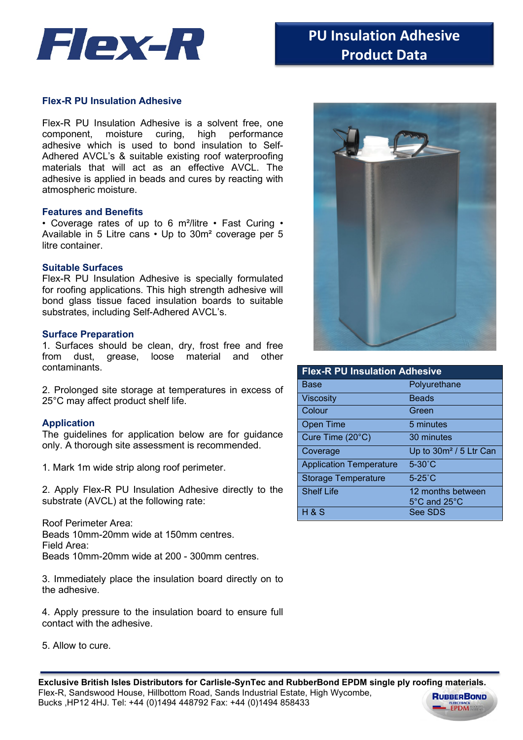

## **Flex-R PU Insulation Adhesive**

Flex-R PU Insulation Adhesive is a solvent free, one component, moisture curing, high performance adhesive which is used to bond insulation to Self-Adhered AVCL's & suitable existing roof waterproofing materials that will act as an effective AVCL. The adhesive is applied in beads and cures by reacting with atmospheric moisture.

#### **Features and Benefits**

• Coverage rates of up to 6 m²/litre • Fast Curing • Available in 5 Litre cans • Up to 30m² coverage per 5 litre container.

## **Suitable Surfaces**

Flex-R PU Insulation Adhesive is specially formulated for roofing applications. This high strength adhesive will bond glass tissue faced insulation boards to suitable substrates, including Self-Adhered AVCL's.

#### **Surface Preparation**

1. Surfaces should be clean, dry, frost free and free from dust, grease, loose material and other contaminants.

2. Prolonged site storage at temperatures in excess of 25°C may affect product shelf life.

### **Application**

The guidelines for application below are for guidance only. A thorough site assessment is recommended.

1. Mark 1m wide strip along roof perimeter.

2. Apply Flex-R PU Insulation Adhesive directly to the substrate (AVCL) at the following rate:

Roof Perimeter Area: Beads 10mm-20mm wide at 150mm centres. Field Area: Beads 10mm-20mm wide at 200 - 300mm centres.

3. Immediately place the insulation board directly on to the adhesive.

4. Apply pressure to the insulation board to ensure full contact with the adhesive.

5. Allow to cure.



| <b>Flex-R PU Insulation Adhesive</b> |                                    |
|--------------------------------------|------------------------------------|
| Base                                 | Polyurethane                       |
| Viscosity                            | <b>Beads</b>                       |
| Colour                               | Green                              |
| <b>Open Time</b>                     | 5 minutes                          |
| Cure Time (20°C)                     | 30 minutes                         |
| Coverage                             | Up to 30m <sup>2</sup> / 5 Ltr Can |
| <b>Application Temperature</b>       | $5-30^{\circ}$ C                   |
| <b>Storage Temperature</b>           | $5-25^\circ C$                     |
| <b>Shelf Life</b>                    | 12 months between                  |
|                                      | 5°C and 25°C                       |
| $H$ & S                              | See SDS                            |